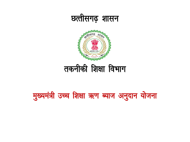

मुख्यमंत्री उच्च शिक्षा ऋण ब्याज अनुदान योजना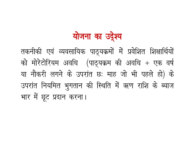# योजना का उर्देश्य

तकनीकी एवं व्यवसायिक पाठ्यक्रमों में प्रवेशित शिक्षार्थियों को मोरेटोरियम अवधि (पाठ्यक्रम की अवधि + एक वर्ष या नौकरी लगने के उपरांत छः माह जो भी पहले हो) के उपरांत नियमित भुगतान की स्थिति में ऋण राशि के ब्याज भार में छूट प्रदान करना।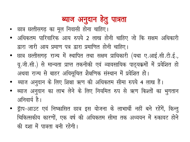# ब्याज अनुदान हेतु पात्रता

- छात्र छत्तीसगढ़ का मूल निवासी होना चाहिए।
- अधिकतम पारिवारिक आय रुपये 2 लाख होनी चाहिए जो कि सक्षम अधिकारी द्वारा जारी आय प्रमाण पत्र द्वारा प्रमाणित होनी चाहिए।
- छात्र छत्तीसगढ़ राज्य में स्थापित तथा सक्षम प्राधिकारी (यथा ए.आई.सी.टी.ई., यू.जी.सी.) से मान्यता प्राप्त तकनीकी एवं व्यावसायिक पाठ्यक्रमों में प्रवेशित हो अथवा राज्य से बाहर अधिसूचित शैक्षणिक संस्थान में प्रवेशित हो।
- ब्याज अनुदान के लिए शिक्षा ऋण की अधिकतम सीमा रुपये 4 लाख हैं।
- ब्याज अनुदान का लाभ लेने के लिए नियमित रुप से ऋण किश्तों का भुगतान अनिवार्य है।
- ड्रॅाप-आउट एवं निष्कासित छात्र इस योजना के लाभार्थी नहीं बने रहेंगें, किन्तु चिकित्सकीय कारणों, एक वर्ष की अधिकतम सीमा तक अध्ययन में रुकावट होने की दशा में पात्रता बनी रहेगी।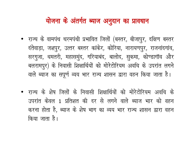## योजना के अंतर्गत ब्याज अनुदान का प्रावधान

- राज्य के वामपंथ चरमपंथी प्रभावित जिलों (बस्तर, बीजापुर, दक्षिण बस्तर दंतेवाड़ा, जशपुर, उत्तर बस्तर कांकेर, कोरिया, नारायणपुर, राजनांदगांव, सरगुजा, धमतरी, महासमुंद, गरियाबंद, बालोद, सुकमा, कोण्डागॉव और बलरामपुर) के निवासी शिक्षार्थियों को मोरेटोरियम अवधि के उपरांत लगने वाले ब्याज का सपूर्ण व्यय भार राज्य शासन द्वारा वहन किया जाता है।
- राज्य के शेष जिलों के निवासी शिक्षार्थियों को मोरेटोरियम अवधि के उपरांत केवल 1 प्रतिशत की दर से लगने वाले ब्याज भार को वहन करना होता है, ब्याज के शेष भाग का व्यय भार राज्य शासन द्वारा वहन किया जाता है।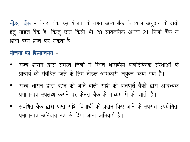**नोडल बैंक** – केनरा बैंक इस योजना के तहत अन्य बैंक के ब्याज अनुदान के दावों हेतु नोडल बैंक है, किन्तु छात्र किसी भी 28 सार्वजनिक अथवा 21 निजी बैंक से शिक्षा ऋण प्राप्त कर सकता है।

योजना का क्रियान्वयन -

- राज्य शासन द्वारा समस्त जिलो में स्थित शासकीय पालीटेक्निक संस्थाओं के प्राचार्य को संबंधित जिले के लिए नोडल अधिकारी नियुक्त किया गया है।
- राज्य शासन द्वारा वहन की जाने वाली राशि की प्रतिपूर्ति बैंकों द्वारा आवश्यक प्रमाण-पत्र उपलब्ध कराने पर केनरा बैंक के माध्यम से की जाती है।
- संबंधित बैंक द्वारा प्राप्त राशि विद्यार्थी को प्रदान किए जाने के उपरांत उपयोगिता प्रमाण-पत्र अनिवार्य रूप से दिया जाना अनिवार्य है।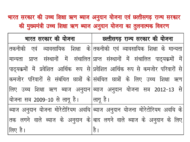## भारत सरकार की उच्च शिक्षा ऋण ब्याज अनुदान योजना एवं छत्तीसगढ़ राज्य सरकार की मुख्यमंत्री उच्च शिक्षा ऋण ब्याज अनुदान योजना का तुलनात्मक विवरण

|                                           | भारत सरकार की योजना वालिक अल्तीसगढ़ राज्य सरकार की योजना                                    |
|-------------------------------------------|---------------------------------------------------------------------------------------------|
|                                           | तकनीकी एवं व्यावसायिक शिक्षा के तकनीकी एवं व्यावसायिक शिक्षा के मान्यता                     |
|                                           | मान्यता प्राप्त संस्थानों में संचालित प्राप्त संस्थानों में संचालित पाठ्यक्रमों में         |
|                                           | $ $ पाठ्यक्रमों में प्रवेशित आर्थिक रूप से $ $ प्रवेशित आर्थिक रूप से कमजोर परिवारों से $ $ |
|                                           | कमजोर परिवारों से संबंधित छात्रों के संबंधित छात्रों के लिए उच्च शिक्षा ऋण                  |
|                                           | लिए उच्च शिक्षा ऋण ब्याज अनुदान ब्याज अनुदान योजना सत्र 2012-13 से                          |
| योजना सत्र 2009-10 से लागू है।   लागू है। |                                                                                             |
|                                           | ब्याज अनुदान योजना मोरेटोरियम अवधि ब्याज अनुदान योजना मोरेटोरियम अवधि के                    |
|                                           | तक लगने वाले ब्याज के अनुदान के बाद लगने वाले ब्याज के अनुदान के लिए                        |
| लिए है।                                   | है ।                                                                                        |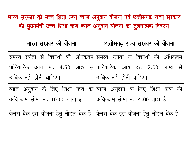## भारत सरकार की उच्च शिक्षा ऋण ब्याज अनुदान योजना एवं छत्तीसगढ़ राज्य सरकार की मुख्यमंत्री उच्च शिक्षा ऋण ब्याज अनुदान योजना का तुलनात्मक विवरण

| भारत सरकार की योजना                                           | छत्तीसगढ़ राज्य सरकार की योजना                                                |
|---------------------------------------------------------------|-------------------------------------------------------------------------------|
|                                                               | समस्त स्त्रोतो से विद्यार्थी की अधिकतम समस्त स्त्रोतो से विद्यार्थी की अधिकतम |
|                                                               | पारिवारिक आय रू. 4.50 लाख से पारिवारिक आय रू. 2.00 लाख से                     |
| अधिक नहीं होनी चाहिए।                                         | अधिक नहीं होनी चाहिए।                                                         |
|                                                               | ब्याज अनुदान के लिए शिक्षा ऋण की ब्याज अनुदान के लिए शिक्षा ऋण की             |
| अधिकतम सीमा रू. 10.00 लाख है।    अधिकतम सीमा रू. 4.00 लाख है। |                                                                               |
|                                                               | केनरा बैंक इस योजना हेतु नोडल बैंक है। किनरा बैंक इस योजना हेतु नोडल बैंक है। |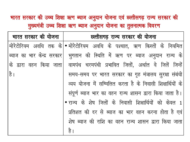भारत सरकार की उच्च शिक्षा ऋण ब्याज अनुदान योजना एवं छत्तीसगढ़ राज्य सरकार की मुख्यमंत्री उच्च शिक्षा ऋण ब्याज अनुदान योजना का तुलनात्मक विवरण

| भारत सरकार की योजना | छत्तीसगढ़ राज्य सरकार की योजना                                                  |
|---------------------|---------------------------------------------------------------------------------|
|                     | मोरेटोरियम अवधि तक के • मोरेटोरियम अवधि के पश्चात, ऋण किस्तों के नियमित         |
|                     | ब्याज का भार केन्द्र सरकार  भुगतान की स्थिति में ऋण पर ब्याज अनुदान राज्य के    |
|                     | के द्वारा वहन किया जाता  वामपंथ चरमपंथी प्रभावित जिलों, अर्थात वे जिलें जिन्हें |
| है।                 | समय-समय पर भारत सरकार का गृह मंत्रालय सुरक्षा संबंधी                            |
|                     | व्यय योजना में सम्मिलित करता है के निवासी शिक्षार्थियों के                      |
|                     | संपूर्ण ब्याज भार का वहन राज्य शासन द्वारा किया जाता है।                        |
|                     | • राज्य के शेष जिलों के निवासी शिक्षार्थियों को केवल 1                          |
|                     | प्रतिशत की दर से ब्याज का भार वहन करना होता है एवं                              |
|                     | शेष ब्याज की राशि का वहन राज्य शासन द्वारा किया जाता                            |
|                     | है ।                                                                            |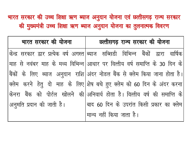## भारत सरकार की उच्च शिक्षा ऋण ब्याज अनुदान योजना एवं छत्तीसगढ़ राज्य सरकार की मुख्यमंत्री उच्च शिक्षा ऋण ब्याज अनुदान योजना का तुलनात्मक विवरण

| भारत सरकार की योजना       | छत्तीसगढ़ राज्य सरकार की योजना                                                      |
|---------------------------|-------------------------------------------------------------------------------------|
|                           | केन्द्र सरकार द्वार प्रत्येक वर्ष अगस्त ब्याज सब्सिडी विभिन्न बैंकों द्वारा वार्षिक |
|                           | माह से नवंबर माह के मध्य विभिन्न आधार पर वित्तीय वर्ष समाप्ति के 30 दिन के          |
|                           | बैंकों के लिए ब्याज अनुदान राशि अंदर नोडल बैंक से क्लेम किया जाना होता है।          |
|                           | क्लेम करने हेतु दो माह के लिए शेष बचे हुए क्लेम को 60 दिन के अंदर करना              |
|                           | केनरा बैंक को पोर्टल खोलने की अनिवार्य होता है। वित्तीय वर्ष की समाप्ति के          |
| अनुमति प्रदान की जाती है। | बाद 60 दिन के उपरांत किसी प्रकार का क्लेम                                           |
|                           | मान्य नहीं किया जाता है।                                                            |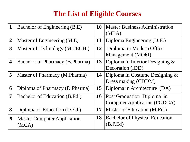## **The List of Eligible Courses**

| 1                       | Bachelor of Engineering (B.E)              | <b>10</b><br><b>Master Business Administration</b><br>(MBA)           |                                                                          |  |  |
|-------------------------|--------------------------------------------|-----------------------------------------------------------------------|--------------------------------------------------------------------------|--|--|
| $\boldsymbol{2}$        | Master of Engineering (M.E)                | 11                                                                    | Diploma Engineering (D.E.)                                               |  |  |
| 3                       | Master of Technology (M.TECH.)             | <b>12</b>                                                             | Diploma in Modern Office<br>Management (MOM)                             |  |  |
| $\overline{\mathbf{4}}$ | <b>Bachelor of Pharmacy (B.Pharma)</b>     | Diploma in Interior Designing $\&$<br>13<br>Decoration (IDD)          |                                                                          |  |  |
| 5                       | Master of Pharmacy (M.Pharma)              | Diploma in Costume Designing $\&$<br><b>14</b><br>Dress making (CDDM) |                                                                          |  |  |
| 6                       | Diploma of Pharmacy (D.Pharma)             | 15                                                                    | Diploma in Architecture (DA)                                             |  |  |
| 7                       | Bachelor of Education (B.Ed.)              | <b>16</b>                                                             | <b>Post Graduation Diploma in</b><br><b>Computer Application (PGDCA)</b> |  |  |
| 8                       | Diploma of Education (D.Ed.)               | 17<br>Master of Education (M.Ed.)                                     |                                                                          |  |  |
| 9                       | <b>Master Computer Application</b><br>'MCA | <b>18</b>                                                             | <b>Bachelor of Physical Education</b><br>(B.P.Ed)                        |  |  |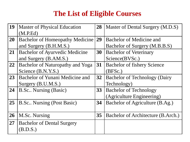## **The List of Eligible Courses**

| <b>Master of Physical Education</b>    | 28              | Master of Dental Surgery (M.D.S)     |
|----------------------------------------|-----------------|--------------------------------------|
| (M.P.Ed)                               |                 |                                      |
| <b>Bachelor of Homeopathy Medicine</b> | 29              | <b>Bachelor of Medicine and</b>      |
| and Surgery (B.H.M.S.)                 |                 | Bachelor of Surgery (M.B.B.S)        |
| <b>Bachelor of Ayurvedic Medicine</b>  | 30              | <b>Bachelor of Veterinary</b>        |
| and Surgery (B.AM.S.)                  |                 | Science(BVSc.)                       |
| Bachelor of Naturopathy and Yoga       | 31              | <b>Bachelor of fishery Science</b>   |
| Science (B.N.Y.S.)                     |                 | (BFSc.)                              |
| Bachelor of Yunani Medicine and        | 32 <sup>2</sup> | <b>Bachelor of Technology (Dairy</b> |
| Surgery (B.U.M.S.)                     |                 | Technology)                          |
| 24<br>B.Sc Nursing (Basic)             |                 | <b>Bachelor of Technology</b>        |
|                                        |                 | (Agriculture Engineering)            |
| <b>B.Sc.</b> Nursing (Post Basic)      | 34              | Bachelor of Agriculture (B.Ag.)      |
|                                        |                 |                                      |
| M.Sc. Nursing                          | 35              | Bachelor of Architecture (B.Arch.)   |
| <b>Bachelor of Dental Surgery</b>      |                 |                                      |
| (B.D.S.)                               |                 |                                      |
|                                        |                 | 33                                   |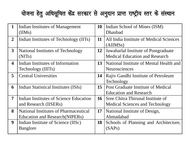## योजना हेतु अधिसूचित केंद्र सरकार से अनुदान प्राप्त राष्ट्रीय स्तर के संस्थान

| $\mathbf{1}$            | Indian Institutes of Management<br>(IIMs)                                              | <b>10</b>                                                                                  | Indian School of Mines (ISM)<br>Dhanbad                             |  |  |
|-------------------------|----------------------------------------------------------------------------------------|--------------------------------------------------------------------------------------------|---------------------------------------------------------------------|--|--|
| $\overline{2}$          | Indian Institutes of Technology (IITs)                                                 | 11<br>All India Institute of Medical Sciences<br>(AIIMSs)                                  |                                                                     |  |  |
| 3                       | <b>National Institutes of Technology</b><br>(NITs)                                     | <b>12</b><br>Jawaharlal Institute of Postgraduate<br><b>Medical Education and Research</b> |                                                                     |  |  |
| $\overline{\mathbf{4}}$ | Indian Institutes of Information<br>Technology (IIITs)                                 | 13<br>National Institute of Mental Health and<br><b>Neurosciences</b>                      |                                                                     |  |  |
| 5                       | <b>Central Universities</b>                                                            | 14                                                                                         | Rajiv Gandhi Institute of Petroleum<br>Technology                   |  |  |
| 6                       | Indian Statistical Institutes (ISIs)                                                   | 15                                                                                         | Post Graduate Institute of Medical<br><b>Education and Research</b> |  |  |
| $\overline{7}$          | Indian Institutes of Science Education<br>and Research (IISERs)                        | 16<br>Sree Chitra Thirunal Institute of<br><b>Medical Sciences and Technology</b>          |                                                                     |  |  |
| 8                       | <b>National Institutes of Pharmaceutical</b><br><b>Education and Research (NIPERs)</b> | <b>17</b>                                                                                  | National Institute of Design,<br>Ahmadabad                          |  |  |
| $\boldsymbol{9}$        | Indian Institute of Science (IISc)<br><b>Banglore</b>                                  | 18                                                                                         | Schools of Planning and Architecture,<br>(SAPs)                     |  |  |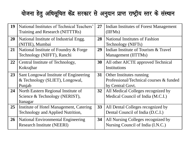## योजना हेतु अधिसूचित केंद्र सरकार से अनुदान प्राप्त राष्ट्रीय स्तर के संस्थान

| 19        | National Institutes of Technical Teachers'<br>Training and Research (NITTTRs)     | 27              | Indian Institutes of Forest Management<br>(IIFMs)                       |  |                                                                                         |
|-----------|-----------------------------------------------------------------------------------|-----------------|-------------------------------------------------------------------------|--|-----------------------------------------------------------------------------------------|
| <b>20</b> | National Institute of Industrial Engg.<br>(NITIE), Mumbai                         | 28              | <b>National Institutes of Fashion</b><br>Technology (NIFTs)             |  |                                                                                         |
| 21        | National Institute of Foundry & Forge<br>Technology (NIFFT), Ranchi               | 29              | Indian Institute of Tourism & Travel<br>Management (IITTMs)             |  |                                                                                         |
| 22        | Central Institute of Technology,<br>Kokrajhar                                     | 30              | All other AICTE approved Technical<br>Institutions                      |  |                                                                                         |
| 23        | Sant Longowal Institute of Engineering<br>& Technology (SLIET), Longowal,         |                 | 31<br>Punjab                                                            |  | Other Institutes running<br>Professional/Technical courses & funded<br>by Central Govt. |
| 24        | North Eastern Regional Institute of<br>Science & Technology (NERIST),<br>Itanagar |                 | All Medical Colleges recognized by<br>Medical Council of India (M.C.I.) |  |                                                                                         |
| 25        | Institute of Hotel Management, Catering<br>Technology and Applied Nutrition,      | 33 <sup>°</sup> | All Dental Colleges recognized by<br>Dental Council of India (D.C.I.)   |  |                                                                                         |
| <b>26</b> | <b>National Environmental Engineering</b><br><b>Research Institute (NEERI)</b>    | 34              | All Nursing Colleges recognized by<br>Nursing Council of India (I.N.C.) |  |                                                                                         |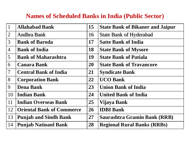#### **Names of Scheduled Banks in India (Public Sector)**

| $\mathbf{1}$             | <b>Allahabad Bank</b>            | 15        | <b>State Bank of Bikaner and Jaipur</b> |
|--------------------------|----------------------------------|-----------|-----------------------------------------|
| $\overline{2}$           | <b>Andhra Bank</b>               | 16        | <b>State Bank of Hyderabad</b>          |
| $\overline{3}$           | <b>Bank of Baroda</b>            | 17        | <b>Satte Bank of India</b>              |
| $\overline{4}$           | <b>Bank of India</b>             | 18        | <b>State Bank of Mysore</b>             |
| $\overline{5}$           | <b>Bank of Maharashtra</b>       | 19        | <b>State Bank of Patiala</b>            |
| 6                        | <b>Canara Bank</b>               | 20        | <b>State Bank of Travancore</b>         |
| $\overline{\mathcal{L}}$ | <b>Central Bank of India</b>     | 21        | <b>Syndicate Bank</b>                   |
| 8                        | <b>Corporation Bank</b>          | 22        | <b>UCO Bank</b>                         |
| 9                        | <b>Dena Bank</b>                 |           | <b>Union Bank of India</b>              |
| 10                       | <b>Indian Bank</b>               | 24        | <b>United Bank of India</b>             |
| 11                       | <b>Indian Overseas Bank</b>      | 25        | Vijaya Bank                             |
| 12                       | <b>Oriental Bank of Commerce</b> | 26        | <b>IDBI</b> Bank                        |
| 13                       | <b>Punjab and Sindh Bank</b>     | <b>27</b> | <b>Saurashtra Gramin Bank (RRB)</b>     |
| 14                       | <b>Punjab Natioanl Bank</b>      | 28        | <b>Regional Rural Banks (RRBs)</b>      |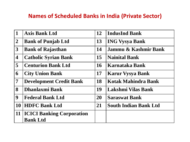#### **Names of Scheduled Banks in India (Private Sector)**

| $\mathbf{1}$            | <b>Axis Bank Ltd</b>             | 12        | <b>IndusInd Bank</b>         |
|-------------------------|----------------------------------|-----------|------------------------------|
| $\overline{2}$          | <b>Bank of Punjab Ltd</b>        | 13        | <b>ING Vysya Bank</b>        |
| $\mathbf{3}$            | <b>Bank of Rajasthan</b>         | <b>14</b> | Jammu & Kashmir Bank         |
| $\boldsymbol{4}$        | <b>Catholic Syrian Bank</b>      | 15        | <b>Nainital Bank</b>         |
| $\overline{\mathbf{5}}$ | <b>Centurion Bank Ltd</b>        | <b>16</b> | Karnataka Bank               |
| 6                       | <b>City Union Bank</b>           | <b>17</b> | <b>Karur Vysya Bank</b>      |
| $\overline{7}$          | <b>Development Credit Bank</b>   | <b>18</b> | Kotak Mahindra Bank          |
| 8                       | <b>Dhanlaxmi Bank</b>            | 19        | Lakshmi Vilas Bank           |
| 9                       | <b>Federal Bank Ltd</b>          | <b>20</b> | <b>Saraswat Bank</b>         |
| 10                      | <b>HDFC Bank Ltd</b>             | 21        | <b>South Indian Bank Ltd</b> |
| 11                      | <b>ICICI Banking Corporation</b> |           |                              |
|                         | <b>Bank Ltd</b>                  |           |                              |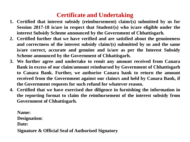#### **Certificate and Undertaking**

- **1. Certified that interest subsidy (reimbursement) claim/(s) submitted by us for Session 2017-18 is/are in respect that Student/(s) who is/are eligible under the interest Subsidy Scheme announced by the Government of Chhattisgarh.**
- **2. Certified further that we have verified and are satisfied about the genuineness and correctness of the interest subsidy claim/(s) submitted by us and the same is/are correct, accurate and genuine and is/are as per the Interest Subsidy Scheme announced by the Government of Chhattisgarh.**
- **3. We further agree and undertake to remit any amount received from Canara Bank in excess of our claim/amount reimbursed by Government of Chhattisgarh to Canara Bank. Further, we authorise Canara bank to return the amount received from the Government against our claim/s and held by Canara Bank, if the Government requests for such refund for whatever reason.**
- **4. Certified that we have exercised due diligence in furnishing the information in the reporting format to claim the reimbursement of the interest subsidy from Government of Chhattisgarh.**

**Name: Designation: Date: Signature & Official Seal of Authorised Signatory**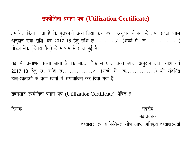#### mi;k sfxrk izek.k i= **(Utilization Certificate)**

प्रमाणित किया जाता है कि मुख्यमंत्री उच्च शिक्षा ऋण ब्याज अनुदान योजना के तहत प्रदत्त ब्याज अनूदान दावा राशि, वर्ष 2017-18 हेतू राशि रू............/- (शब्दों में -रू...................) नोडल बैंक (केनरा बैंक) के माध्यम से प्राप्त हुई है।

यह भी प्रमाणित किया जाता है कि नोडल बैंक से प्राप्त उक्त ब्याज अनुदान दावा राशि वर्ष 2017-18 हेतु रू. राशि रू................../- (शब्दों में -रू..................) को संबंधित छात्र-छात्राओं के ऋण खातों में समायोजित कर दिया गया है।

तदूनुसार उपयोगिता प्रमाण-पत्र (Utilization Certificate) प्रेषित है।

दिनांक $\,$ विनांक $\,$ महाप्रबंधक हस्ताक्षर एवं आफिसियल सील आफ अधिकृत हस्ताक्षरकर्ता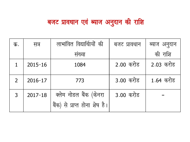# बजट प्रावधान एवं ब्याज अनुदान की राशि

| क.             | सत्र        | लाभांवित विद्यार्थिायों की    | बजट प्रावधान |           |
|----------------|-------------|-------------------------------|--------------|-----------|
|                |             | संख्या                        |              | की राशि   |
|                | $2015 - 16$ | 1084                          | 2.00 करोड    | 2.03 करोड |
| $\overline{2}$ | $2016 - 17$ | 773                           | 3.00 करोड    | 1.64 करोड |
| $\mathbf{3}$   | $2017 - 18$ | क्लेम नोडल बैंक (केनरा        | 3.00 करोड    |           |
|                |             | बैंक) से प्राप्त होना शेष है। |              |           |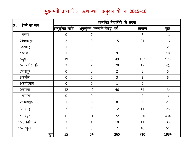#### मुख्यमंत्री उच्च शिक्षा ऋण ब्याज अनुदान योजना 2015-16

|      | जिले का नाम            | लाभांवित विद्यार्थियो की संख्या |                             |                  |                  |                |
|------|------------------------|---------------------------------|-----------------------------|------------------|------------------|----------------|
| क्र. |                        | $ $ अनुसूचित जाति               | अनुसूचित जनजाति पिछड़ा वर्ग |                  | सामान्य          | कुल            |
|      | 1 बस्तर                | $\pmb{0}$                       | $\overline{7}$              | $\mathbf 1$      | 8                | 16             |
|      | 2बिलासपुर              | $\overline{2}$                  | 9                           | 15               | 91               | 117            |
|      | 3 दंतेवाड़ा            | $\mathbf{1}$                    | $\pmb{0}$                   | $\mathbf 1$      | $\pmb{0}$        | $\overline{2}$ |
|      | $4$ धमतरी              | $\mathbf{1}$                    | $\pmb{0}$                   | $\boldsymbol{9}$ | $\bf 8$          | 18             |
|      | 5डुर्ग                 | 19                              | 3                           | 49               | 107              | 178            |
|      | 6जांजगीर-चांपा         | $\overline{2}$                  | $\overline{2}$              | 20               | 17               | 41             |
|      | 7 <mark>जशपुर</mark>   | $\pmb{0}$                       | $\pmb{0}$                   | $\overline{2}$   | 3                | 5              |
|      | 8 कांकेर               | $\boldsymbol{0}$                | $\boldsymbol{0}$            | 3                | $\overline{2}$   | 5              |
|      | 9 कबीरधाम              | $\mathbf 0$                     | $\boldsymbol{0}$            | $\mathbf{1}$     | $\pmb{0}$        | $\mathbf{1}$   |
|      | 10 कोरबा               | 12                              | 12                          | 46               | 64               | 134            |
|      | $11$ कोरिया            | $\pmb{0}$                       | $\pmb{0}$                   | $\mathbf{1}$     | $\overline{2}$   | $\overline{3}$ |
|      | 12 महासमुंद            | $\mathbf{1}$                    | 6                           | $\, 8$           | $\boldsymbol{6}$ | 21             |
|      | 13रायगढ़               | $\overline{2}$                  | $\mathbf 0$                 | 12               | $11\,$           | 25             |
|      | 14 <mark>रायपुर</mark> | 11                              | 11                          | 72               | 340              | 434            |
|      | 15राजनांदगांव          | 3                               | 1                           | 18               | $11\,$           | 33             |
|      | 16 सरगुजा              | $\mathbf{1}$                    | 3                           | $\overline{7}$   | 40               | 51             |
|      | कुल                    | 55                              | 54                          | 265              | 710              | 1084           |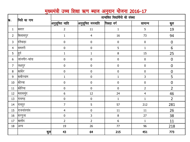### मुख्यमंत्री उच्च शिक्षा ऋण ब्याज अनुदान योजना 2016-17

| क्र.             | जिले का नाम   | लाभांवित विद्यार्थियो की संख्या |                          |              |                |                  |
|------------------|---------------|---------------------------------|--------------------------|--------------|----------------|------------------|
|                  |               | $\left $ अनुसूचित जाति          | $\left $ अनुसूचित जनजाति | पिछड़ा वर्ग  | सामान्य        | कुल              |
| $\mathbf{1}$     | बिस्तर        | $\overline{2}$                  | 11                       | $1\,$        | 5              | 19               |
| $\overline{2}$   | बिलासपुर      | $\mathbf{1}$                    | $\overline{4}$           | $16\,$       | 73             | 94               |
| 3                | दितेवाड़ा     | $\pmb{0}$                       | $\pmb{0}$                | $\pmb{0}$    | $\pmb{0}$      | $\pmb{0}$        |
| $\overline{4}$   | थिमतरी        | $\pmb{0}$                       | $\pmb{0}$                | 5            | $\mathbf{1}$   | $6\phantom{1}$   |
| 5                | दुर्ग         | $\mathbf 1$                     | $\mathbf{1}$             | $\, 8$       | 15             | 25               |
| 6                | जांजगीर−चांपा | $\pmb{0}$                       | $\pmb{0}$                | $\pmb{0}$    | $\pmb{0}$      | $\boldsymbol{0}$ |
| $\overline{7}$   | जशपुर         | $\pmb{0}$                       | $\pmb{0}$                | $\pmb{0}$    | $\pmb{0}$      | $\boldsymbol{0}$ |
| $\, 8$           | कांकेर        | $\pmb{0}$                       | $\pmb{0}$                | $\pmb{0}$    | $\pmb{0}$      | $\boldsymbol{0}$ |
| $\boldsymbol{9}$ | किबीरधाम      | $\mathbf 1$                     | $\pmb{0}$                | $\mathbf{1}$ | 3              | 5                |
| $10\,$           | कोरबा         | $\pmb{0}$                       | $\pmb{0}$                | $\pmb{0}$    | $\pmb{0}$      | $\boldsymbol{0}$ |
| $11\,$           | कोरिया        | $\pmb{0}$                       | $\pmb{0}$                | $\pmb{0}$    | $\overline{2}$ | $\overline{2}$   |
| 12               | महासमुंद      | $6\,$                           | 12                       | 24           | $\overline{4}$ | 46               |
| 13               | रायगढ़        | $\pmb{0}$                       | $\pmb{0}$                | $\mathbf 1$  | $\mathbf{1}$   | $\overline{2}$   |
| 14               | रायपुर        | $\overline{7}$                  | 5                        | 57           | 212            | 281              |
| 15               | राजनांदगांव   | $\overline{4}$                  | $\pmb{0}$                | 11           | $11\,$         | 26               |
| 16               | ∣सरगुजा       | $\pmb{0}$                       | 3                        | $\, 8$       | $27\,$         | 38               |
| 17               | बालोद         | $\overline{2}$                  | $\overline{2}$           | $\sqrt{6}$   | $\mathbf{1}$   | 11               |
| $18\,$           | अन्य          | 19                              | 26                       | $77\,$       | 96             | 218              |
|                  | कुल           | 43                              | 64                       | 215          | 451            | 773              |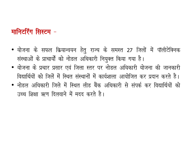## मानिटरिंग सिस्टम -

- योजना के सफल क्रियान्वयन हेतु राज्य के समस्त 27 जिलों में पॉलीटेक्निक संस्थाओं के प्राचार्यों को नोडल अधिकारी नियुक्त किया गया है।
- योजना के प्रचार प्रसार एवं जिला स्तर पर नोडल अधिकारी योजना की जानकारी विद्यार्थियों को जिलें में स्थित संस्थानों में कार्यशाला आयोजित कर प्रदान करते है।
- नोडल अधिकारी जिले में स्थित लीड बैंक अधिकारी से संपर्क कर विद्यार्थियों को उच्च शिक्षा ऋण दिलवाने में मदद करते है।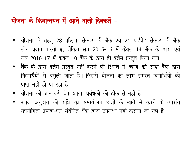## योजना के क्रियान्वयन में आने वाली दिक्कतें –

- योजना के तहतू 28 पब्लिक सेक्टर की बैंक एवं 21 प्राईवेट सेक्टर की बैंक लोन प्रदान करती है, लेकिन सत्र 2015-16 में केवल 14 बैंक के द्वारा एवं सत्र 2016-17 में केवल 10 बैंक के द्वारा ही क्लेम प्रस्तुत किया गया।
- बैंक के द्वारा क्लेम प्रस्तुत नहीं करने की स्थिति में ब्याज की राशि बैंक द्वारा विद्यार्थियों से वसूली जाती है। जिससे योजना का लाभ समस्त विद्यार्थियों को प्राप्त नहीं हो पा रहा है।
- योजना की जानकारी बैंक शाखा प्रबंधको को ठीक से नहीं है।
- ब्याज अनुदान की राशि का समायोजन छात्रों के खाते में करने के उपरांत उपयोगिता प्रमाण-पत्र संबंधित बैंक द्वारा उपलब्ध नहीं कराया जा रहा है।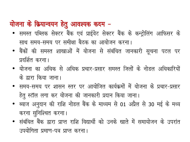## योजना के क्रियान्वयन हेतु आवश्यक कदम -

- समस्त पब्लिक सेक्टर बैंक एवं प्राईवेट सेक्टर बैंक के कन्ट्रोलिंग आफिसर के साथ समय-समय पर समीक्षा बैठक का आयोजन करना।
- बैंकों की समस्त शाखाओं में योजना से संबंधित जानकारी सूचना पटल पर प्रदर्शित करना।
- योजना का अधिक से अधिक प्रचार-प्रसार समस्त जिलों के नोडल अधिकारियों के द्वारा किया जाना।
- समय–समय पर शासन स्तर पर आयोजित कार्यक्रमों में योजना के प्रचार–प्रसार हेतु स्टॉल लगा कर योजना की जानकारी प्रदान किया जाना।
- ब्याज अनुदान की राशि नोडल बैंक के माध्यम से 01 अप्रैल से 30 मई के मध्य करना सुनिश्चित करना।
- संबंधित बैंक द्वारा प्राप्त राशि विद्यार्थी को उनके खाते में समायोजन के उपरांत उपयोगिता प्रमाण-पत्र प्राप्त करना।